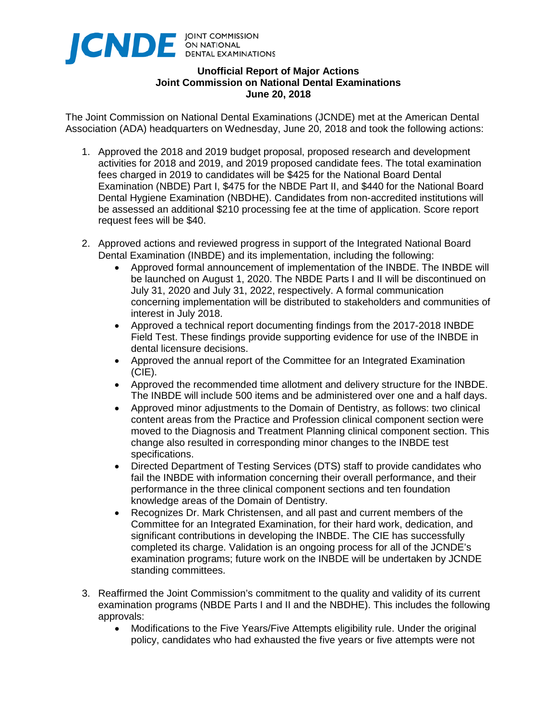

## **Unofficial Report of Major Actions Joint Commission on National Dental Examinations June 20, 2018**

The Joint Commission on National Dental Examinations (JCNDE) met at the American Dental Association (ADA) headquarters on Wednesday, June 20, 2018 and took the following actions:

- 1. Approved the 2018 and 2019 budget proposal, proposed research and development activities for 2018 and 2019, and 2019 proposed candidate fees. The total examination fees charged in 2019 to candidates will be \$425 for the National Board Dental Examination (NBDE) Part I, \$475 for the NBDE Part II, and \$440 for the National Board Dental Hygiene Examination (NBDHE). Candidates from non-accredited institutions will be assessed an additional \$210 processing fee at the time of application. Score report request fees will be \$40.
- 2. Approved actions and reviewed progress in support of the Integrated National Board Dental Examination (INBDE) and its implementation, including the following:
	- Approved formal announcement of implementation of the INBDE. The INBDE will be launched on August 1, 2020. The NBDE Parts I and II will be discontinued on July 31, 2020 and July 31, 2022, respectively. A formal communication concerning implementation will be distributed to stakeholders and communities of interest in July 2018.
	- Approved a technical report documenting findings from the 2017-2018 INBDE Field Test. These findings provide supporting evidence for use of the INBDE in dental licensure decisions.
	- Approved the annual report of the Committee for an Integrated Examination (CIE).
	- Approved the recommended time allotment and delivery structure for the INBDE. The INBDE will include 500 items and be administered over one and a half days.
	- Approved minor adjustments to the Domain of Dentistry, as follows: two clinical content areas from the Practice and Profession clinical component section were moved to the Diagnosis and Treatment Planning clinical component section. This change also resulted in corresponding minor changes to the INBDE test specifications.
	- Directed Department of Testing Services (DTS) staff to provide candidates who fail the INBDE with information concerning their overall performance, and their performance in the three clinical component sections and ten foundation knowledge areas of the Domain of Dentistry.
	- Recognizes Dr. Mark Christensen, and all past and current members of the Committee for an Integrated Examination, for their hard work, dedication, and significant contributions in developing the INBDE. The CIE has successfully completed its charge. Validation is an ongoing process for all of the JCNDE's examination programs; future work on the INBDE will be undertaken by JCNDE standing committees.
- 3. Reaffirmed the Joint Commission's commitment to the quality and validity of its current examination programs (NBDE Parts I and II and the NBDHE). This includes the following approvals:
	- Modifications to the Five Years/Five Attempts eligibility rule. Under the original policy, candidates who had exhausted the five years or five attempts were not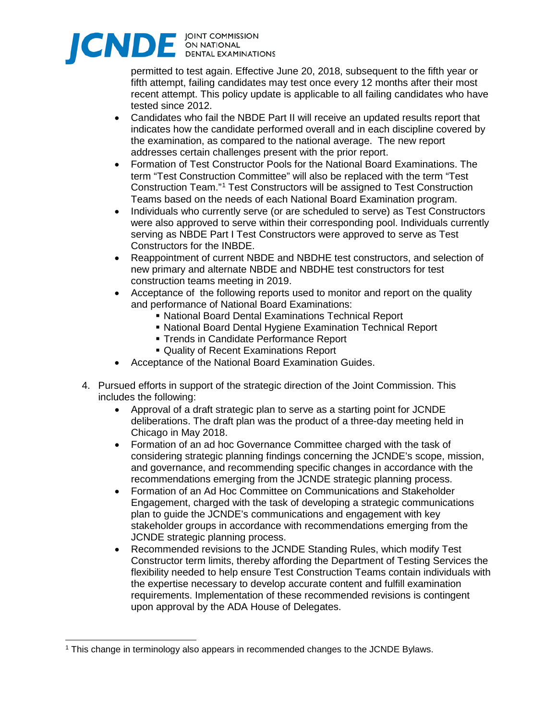

permitted to test again. Effective June 20, 2018, subsequent to the fifth year or fifth attempt, failing candidates may test once every 12 months after their most recent attempt. This policy update is applicable to all failing candidates who have tested since 2012.

- Candidates who fail the NBDE Part II will receive an updated results report that indicates how the candidate performed overall and in each discipline covered by the examination, as compared to the national average. The new report addresses certain challenges present with the prior report.
- Formation of Test Constructor Pools for the National Board Examinations. The term "Test Construction Committee" will also be replaced with the term "Test Construction Team."[1](#page-1-0) Test Constructors will be assigned to Test Construction Teams based on the needs of each National Board Examination program.
- Individuals who currently serve (or are scheduled to serve) as Test Constructors were also approved to serve within their corresponding pool. Individuals currently serving as NBDE Part I Test Constructors were approved to serve as Test Constructors for the INBDE.
- Reappointment of current NBDE and NBDHE test constructors, and selection of new primary and alternate NBDE and NBDHE test constructors for test construction teams meeting in 2019.
- Acceptance of the following reports used to monitor and report on the quality and performance of National Board Examinations:
	- National Board Dental Examinations Technical Report
	- National Board Dental Hygiene Examination Technical Report
	- **Trends in Candidate Performance Report**
	- Quality of Recent Examinations Report
- Acceptance of the National Board Examination Guides.
- 4. Pursued efforts in support of the strategic direction of the Joint Commission. This includes the following:
	- Approval of a draft strategic plan to serve as a starting point for JCNDE deliberations. The draft plan was the product of a three-day meeting held in Chicago in May 2018.
	- Formation of an ad hoc Governance Committee charged with the task of considering strategic planning findings concerning the JCNDE's scope, mission, and governance, and recommending specific changes in accordance with the recommendations emerging from the JCNDE strategic planning process.
	- Formation of an Ad Hoc Committee on Communications and Stakeholder Engagement, charged with the task of developing a strategic communications plan to guide the JCNDE's communications and engagement with key stakeholder groups in accordance with recommendations emerging from the JCNDE strategic planning process.
	- Recommended revisions to the JCNDE Standing Rules, which modify Test Constructor term limits, thereby affording the Department of Testing Services the flexibility needed to help ensure Test Construction Teams contain individuals with the expertise necessary to develop accurate content and fulfill examination requirements. Implementation of these recommended revisions is contingent upon approval by the ADA House of Delegates.

<span id="page-1-0"></span> <sup>1</sup> This change in terminology also appears in recommended changes to the JCNDE Bylaws.